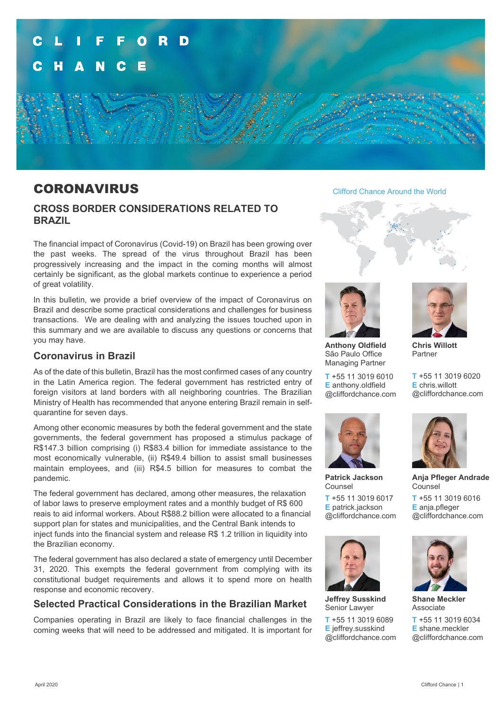

# CORONAVIRUS

# **CROSS BORDER CONSIDERATIONS RELATED TO BRAZIL**

The financial impact of Coronavirus (Covid-19) on Brazil has been growing over the past weeks. The spread of the virus throughout Brazil has been progressively increasing and the impact in the coming months will almost certainly be significant, as the global markets continue to experience a period of great volatility.

In this bulletin, we provide a brief overview of the impact of Coronavirus on Brazil and describe some practical considerations and challenges for business transactions. We are dealing with and analyzing the issues touched upon in this summary and we are available to discuss any questions or concerns that you may have.

# **Coronavirus in Brazil**

As of the date of this bulletin, Brazil has the most confirmed cases of any country in the Latin America region. The federal government has restricted entry of foreign visitors at land borders with all neighboring countries. The Brazilian Ministry of Health has recommended that anyone entering Brazil remain in selfquarantine for seven days.

Among other economic measures by both the federal government and the state governments, the federal government has proposed a stimulus package of R\$147.3 billion comprising (i) R\$83.4 billion for immediate assistance to the most economically vulnerable, (ii) R\$49.4 billion to assist small businesses maintain employees, and (iii) R\$4.5 billion for measures to combat the pandemic.

The federal government has declared, among other measures, the relaxation of labor laws to preserve employment rates and a monthly budget of R\$ 600 reais to aid informal workers. About R\$88.2 billion were allocated to a financial support plan for states and municipalities, and the Central Bank intends to inject funds into the financial system and release R\$ 1.2 trillion in liquidity into the Brazilian economy.

The federal government has also declared a state of emergency until December 31, 2020. This exempts the federal government from complying with its constitutional budget requirements and allows it to spend more on health response and economic recovery.

# **Selected Practical Considerations in the Brazilian Market**

Companies operating in Brazil are likely to face financial challenges in the coming weeks that will need to be addressed and mitigated. It is important for Clifford Chance Around the World





**Anthony Oldfield** São Paulo Office Managing Partner

**T** +55 11 3019 6010 **E** anthony.oldfield @cliffordchance.com



**Patrick Jackson** Counsel

**T** +55 11 3019 6017 **E** patrick.jackson @cliffordchance.com



**Jeffrey Susskind** Senior Lawyer

**T** +55 11 3019 6089 **E** jeffrey.susskind @cliffordchance.com



**Chris Willott** Partner

**T** +55 11 3019 6020 **E** chris.willott @cliffordchance.com



**Anja Pfleger Andrade** Counsel

**T** +55 11 3019 6016 **E** anja.pfleger @cliffordchance.com



**Shane Meckler** Associate

**T** +55 11 3019 6034 **E** shane.meckler @cliffordchance.com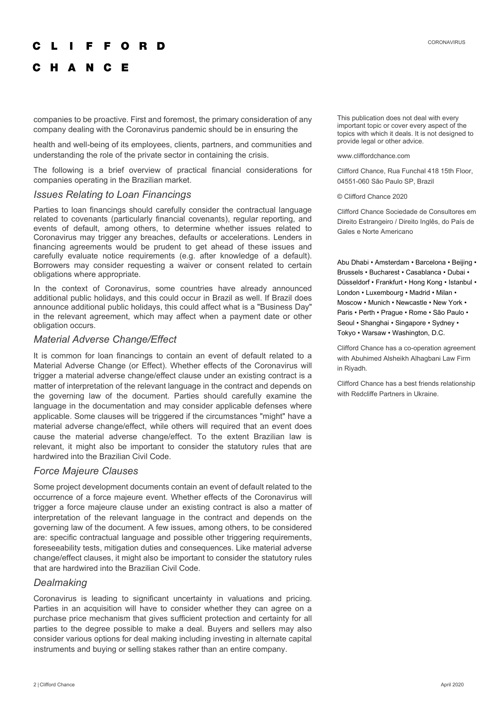#### O R

# C H A N C E

companies to be proactive. First and foremost, the primary consideration of any company dealing with the Coronavirus pandemic should be in ensuring the

health and well-being of its employees, clients, partners, and communities and understanding the role of the private sector in containing the crisis.

The following is a brief overview of practical financial considerations for companies operating in the Brazilian market.

### *Issues Relating to Loan Financings*

Parties to loan financings should carefully consider the contractual language related to covenants (particularly financial covenants), regular reporting, and events of default, among others, to determine whether issues related to Coronavirus may trigger any breaches, defaults or accelerations. Lenders in financing agreements would be prudent to get ahead of these issues and carefully evaluate notice requirements (e.g. after knowledge of a default). Borrowers may consider requesting a waiver or consent related to certain obligations where appropriate.

In the context of Coronavirus, some countries have already announced additional public holidays, and this could occur in Brazil as well. If Brazil does announce additional public holidays, this could affect what is a "Business Day" in the relevant agreement, which may affect when a payment date or other obligation occurs.

#### *Material Adverse Change/Effect*

It is common for loan financings to contain an event of default related to a Material Adverse Change (or Effect). Whether effects of the Coronavirus will trigger a material adverse change/effect clause under an existing contract is a matter of interpretation of the relevant language in the contract and depends on the governing law of the document. Parties should carefully examine the language in the documentation and may consider applicable defenses where applicable. Some clauses will be triggered if the circumstances "might" have a material adverse change/effect, while others will required that an event does cause the material adverse change/effect. To the extent Brazilian law is relevant, it might also be important to consider the statutory rules that are hardwired into the Brazilian Civil Code.

#### *Force Majeure Clauses*

Some project development documents contain an event of default related to the occurrence of a force majeure event. Whether effects of the Coronavirus will trigger a force majeure clause under an existing contract is also a matter of interpretation of the relevant language in the contract and depends on the governing law of the document. A few issues, among others, to be considered are: specific contractual language and possible other triggering requirements, foreseeability tests, mitigation duties and consequences. Like material adverse change/effect clauses, it might also be important to consider the statutory rules that are hardwired into the Brazilian Civil Code.

### *Dealmaking*

Coronavirus is leading to significant uncertainty in valuations and pricing. Parties in an acquisition will have to consider whether they can agree on a purchase price mechanism that gives sufficient protection and certainty for all parties to the degree possible to make a deal. Buyers and sellers may also consider various options for deal making including investing in alternate capital instruments and buying or selling stakes rather than an entire company.

This publication does not deal with every important topic or cover every aspect of the topics with which it deals. It is not designed to provide legal or other advice.

#### www.cliffordchance.com

Clifford Chance, Rua Funchal 418 15th Floor, 04551-060 São Paulo SP, Brazil

© Clifford Chance 2020

Clifford Chance Sociedade de Consultores em Direito Estrangeiro / Direito Inglês, do País de Gales e Norte Americano

Abu Dhabi • Amsterdam • Barcelona • Beijing • Brussels • Bucharest • Casablanca • Dubai • Düsseldorf • Frankfurt • Hong Kong • Istanbul • London • Luxembourg • Madrid • Milan • Moscow • Munich • Newcastle • New York • Paris • Perth • Prague • Rome • São Paulo • Seoul • Shanghai • Singapore • Sydney • Tokyo • Warsaw • Washington, D.C.

Clifford Chance has a co-operation agreement with Abuhimed Alsheikh Alhagbani Law Firm in Riyadh.

Clifford Chance has a best friends relationship with Redcliffe Partners in Ukraine.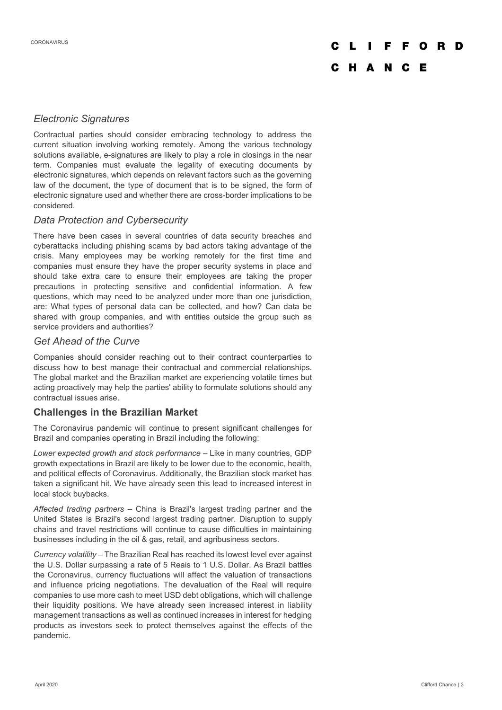# O R D C H A N C E

# *Electronic Signatures*

Contractual parties should consider embracing technology to address the current situation involving working remotely. Among the various technology solutions available, e-signatures are likely to play a role in closings in the near term. Companies must evaluate the legality of executing documents by electronic signatures, which depends on relevant factors such as the governing law of the document, the type of document that is to be signed, the form of electronic signature used and whether there are cross-border implications to be considered.

## *Data Protection and Cybersecurity*

There have been cases in several countries of data security breaches and cyberattacks including phishing scams by bad actors taking advantage of the crisis. Many employees may be working remotely for the first time and companies must ensure they have the proper security systems in place and should take extra care to ensure their employees are taking the proper precautions in protecting sensitive and confidential information. A few questions, which may need to be analyzed under more than one jurisdiction, are: What types of personal data can be collected, and how? Can data be shared with group companies, and with entities outside the group such as service providers and authorities?

# *Get Ahead of the Curve*

Companies should consider reaching out to their contract counterparties to discuss how to best manage their contractual and commercial relationships. The global market and the Brazilian market are experiencing volatile times but acting proactively may help the parties' ability to formulate solutions should any contractual issues arise.

# **Challenges in the Brazilian Market**

The Coronavirus pandemic will continue to present significant challenges for Brazil and companies operating in Brazil including the following:

*Lower expected growth and stock performance* – Like in many countries, GDP growth expectations in Brazil are likely to be lower due to the economic, health, and political effects of Coronavirus. Additionally, the Brazilian stock market has taken a significant hit. We have already seen this lead to increased interest in local stock buybacks.

*Affected trading partners* – China is Brazil's largest trading partner and the United States is Brazil's second largest trading partner. Disruption to supply chains and travel restrictions will continue to cause difficulties in maintaining businesses including in the oil & gas, retail, and agribusiness sectors.

*Currency volatility* – The Brazilian Real has reached its lowest level ever against the U.S. Dollar surpassing a rate of 5 Reais to 1 U.S. Dollar. As Brazil battles the Coronavirus, currency fluctuations will affect the valuation of transactions and influence pricing negotiations. The devaluation of the Real will require companies to use more cash to meet USD debt obligations, which will challenge their liquidity positions. We have already seen increased interest in liability management transactions as well as continued increases in interest for hedging products as investors seek to protect themselves against the effects of the pandemic.